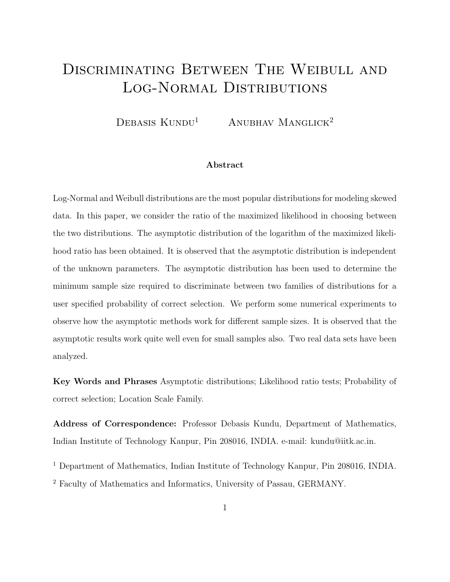# DISCRIMINATING BETWEEN THE WEIBULL AND Log-Normal Distributions

 $DEBASIS KUNDU<sup>1</sup>$  ANUBHAV MANGLICK<sup>2</sup>

#### Abstract

Log-Normal and Weibull distributions are the most popular distributions for modeling skewed data. In this paper, we consider the ratio of the maximized likelihood in choosing between the two distributions. The asymptotic distribution of the logarithm of the maximized likelihood ratio has been obtained. It is observed that the asymptotic distribution is independent of the unknown parameters. The asymptotic distribution has been used to determine the minimum sample size required to discriminate between two families of distributions for a user specified probability of correct selection. We perform some numerical experiments to observe how the asymptotic methods work for different sample sizes. It is observed that the asymptotic results work quite well even for small samples also. Two real data sets have been analyzed.

Key Words and Phrases Asymptotic distributions; Likelihood ratio tests; Probability of correct selection; Location Scale Family.

Address of Correspondence: Professor Debasis Kundu, Department of Mathematics, Indian Institute of Technology Kanpur, Pin 208016, INDIA. e-mail: kundu@iitk.ac.in.

<sup>1</sup> Department of Mathematics, Indian Institute of Technology Kanpur, Pin 208016, INDIA.

<sup>2</sup> Faculty of Mathematics and Informatics, University of Passau, GERMANY.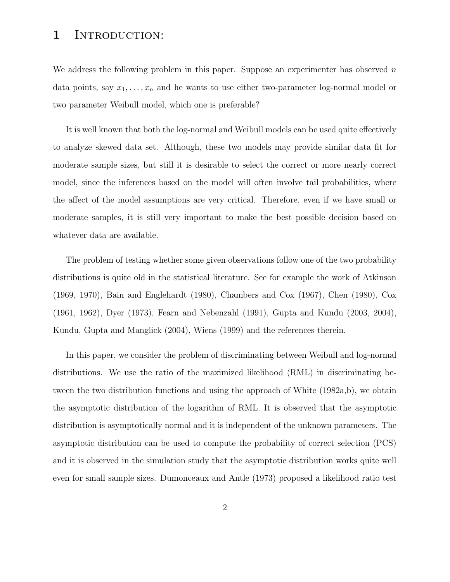## 1 INTRODUCTION:

We address the following problem in this paper. Suppose an experimenter has observed  $n$ data points, say  $x_1, \ldots, x_n$  and he wants to use either two-parameter log-normal model or two parameter Weibull model, which one is preferable?

It is well known that both the log-normal and Weibull models can be used quite effectively to analyze skewed data set. Although, these two models may provide similar data fit for moderate sample sizes, but still it is desirable to select the correct or more nearly correct model, since the inferences based on the model will often involve tail probabilities, where the affect of the model assumptions are very critical. Therefore, even if we have small or moderate samples, it is still very important to make the best possible decision based on whatever data are available.

The problem of testing whether some given observations follow one of the two probability distributions is quite old in the statistical literature. See for example the work of Atkinson (1969, 1970), Bain and Englehardt (1980), Chambers and Cox (1967), Chen (1980), Cox (1961, 1962), Dyer (1973), Fearn and Nebenzahl (1991), Gupta and Kundu (2003, 2004), Kundu, Gupta and Manglick (2004), Wiens (1999) and the references therein.

In this paper, we consider the problem of discriminating between Weibull and log-normal distributions. We use the ratio of the maximized likelihood (RML) in discriminating between the two distribution functions and using the approach of White (1982a,b), we obtain the asymptotic distribution of the logarithm of RML. It is observed that the asymptotic distribution is asymptotically normal and it is independent of the unknown parameters. The asymptotic distribution can be used to compute the probability of correct selection (PCS) and it is observed in the simulation study that the asymptotic distribution works quite well even for small sample sizes. Dumonceaux and Antle (1973) proposed a likelihood ratio test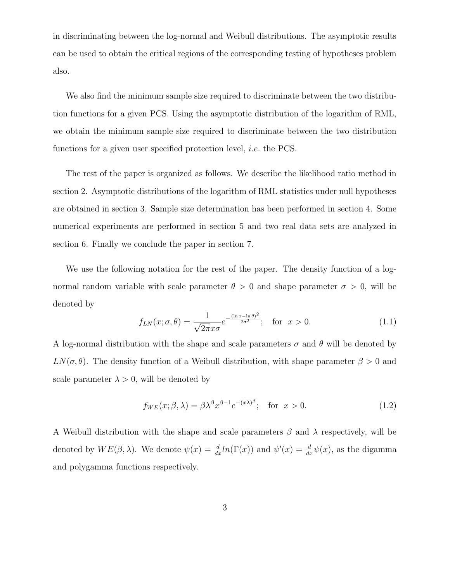in discriminating between the log-normal and Weibull distributions. The asymptotic results can be used to obtain the critical regions of the corresponding testing of hypotheses problem also.

We also find the minimum sample size required to discriminate between the two distribution functions for a given PCS. Using the asymptotic distribution of the logarithm of RML, we obtain the minimum sample size required to discriminate between the two distribution functions for a given user specified protection level, i.e. the PCS.

The rest of the paper is organized as follows. We describe the likelihood ratio method in section 2. Asymptotic distributions of the logarithm of RML statistics under null hypotheses are obtained in section 3. Sample size determination has been performed in section 4. Some numerical experiments are performed in section 5 and two real data sets are analyzed in section 6. Finally we conclude the paper in section 7.

We use the following notation for the rest of the paper. The density function of a lognormal random variable with scale parameter  $\theta > 0$  and shape parameter  $\sigma > 0$ , will be denoted by

$$
f_{LN}(x; \sigma, \theta) = \frac{1}{\sqrt{2\pi}x\sigma} e^{-\frac{(\ln x - \ln \theta)^2}{2\sigma^2}}; \quad \text{for } x > 0.
$$
 (1.1)

A log-normal distribution with the shape and scale parameters  $\sigma$  and  $\theta$  will be denoted by  $LN(\sigma, \theta)$ . The density function of a Weibull distribution, with shape parameter  $\beta > 0$  and scale parameter  $\lambda > 0$ , will be denoted by

$$
f_{WE}(x; \beta, \lambda) = \beta \lambda^{\beta} x^{\beta - 1} e^{-(x\lambda)^{\beta}}; \quad \text{for } x > 0.
$$
 (1.2)

A Weibull distribution with the shape and scale parameters  $\beta$  and  $\lambda$  respectively, will be denoted by  $WE(\beta, \lambda)$ . We denote  $\psi(x) = \frac{d}{dx} ln(\Gamma(x))$  and  $\psi'(x) = \frac{d}{dx}\psi(x)$ , as the digamma and polygamma functions respectively.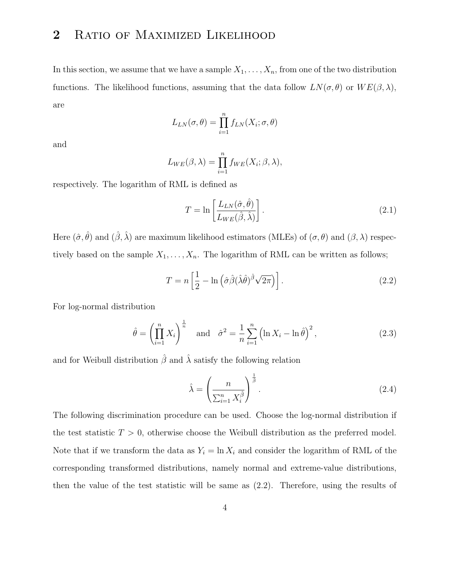# 2 RATIO OF MAXIMIZED LIKELIHOOD

In this section, we assume that we have a sample  $X_1, \ldots, X_n$ , from one of the two distribution functions. The likelihood functions, assuming that the data follow  $LN(\sigma, \theta)$  or  $WE(\beta, \lambda)$ , are

$$
L_{LN}(\sigma, \theta) = \prod_{i=1}^{n} f_{LN}(X_i; \sigma, \theta)
$$

and

$$
L_{WE}(\beta,\lambda) = \prod_{i=1}^{n} f_{WE}(X_i;\beta,\lambda),
$$

respectively. The logarithm of RML is defined as

$$
T = \ln \left[ \frac{L_{LN}(\hat{\sigma}, \hat{\theta})}{L_{WE}(\hat{\beta}, \hat{\lambda})} \right].
$$
\n(2.1)

Here  $(\hat{\sigma}, \hat{\theta})$  and  $(\hat{\beta}, \hat{\lambda})$  are maximum likelihood estimators (MLEs) of  $(\sigma, \theta)$  and  $(\beta, \lambda)$  respectively based on the sample  $X_1, \ldots, X_n$ . The logarithm of RML can be written as follows;

$$
T = n \left[ \frac{1}{2} - \ln \left( \hat{\sigma} \hat{\beta} (\hat{\lambda} \hat{\theta})^{\hat{\beta}} \sqrt{2\pi} \right) \right].
$$
 (2.2)

For log-normal distribution

$$
\hat{\theta} = \left(\prod_{i=1}^{n} X_i\right)^{\frac{1}{n}} \quad \text{and} \quad \hat{\sigma}^2 = \frac{1}{n} \sum_{i=1}^{n} \left(\ln X_i - \ln \hat{\theta}\right)^2,\tag{2.3}
$$

and for Weibull distribution  $\hat{\beta}$  and  $\hat{\lambda}$  satisfy the following relation

$$
\hat{\lambda} = \left(\frac{n}{\sum_{i=1}^{n} X_i^{\hat{\beta}}}\right)^{\frac{1}{\hat{\beta}}}.
$$
\n(2.4)

The following discrimination procedure can be used. Choose the log-normal distribution if the test statistic  $T > 0$ , otherwise choose the Weibull distribution as the preferred model. Note that if we transform the data as  $Y_i = \ln X_i$  and consider the logarithm of RML of the corresponding transformed distributions, namely normal and extreme-value distributions, then the value of the test statistic will be same as (2.2). Therefore, using the results of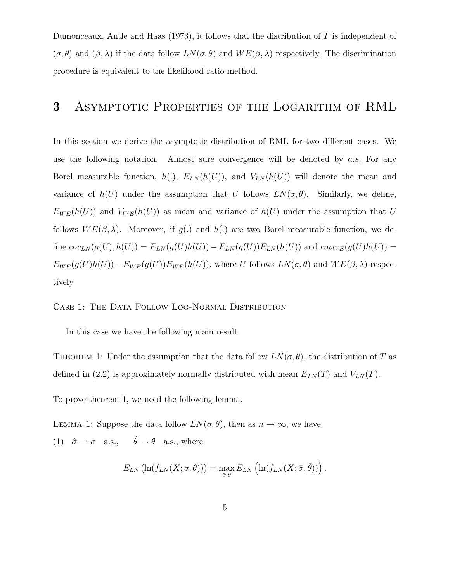Dumonceaux, Antle and Haas (1973), it follows that the distribution of T is independent of  $(\sigma, \theta)$  and  $(\beta, \lambda)$  if the data follow  $LN(\sigma, \theta)$  and  $WE(\beta, \lambda)$  respectively. The discrimination procedure is equivalent to the likelihood ratio method.

# 3 Asymptotic Properties of the Logarithm of RML

In this section we derive the asymptotic distribution of RML for two different cases. We use the following notation. Almost sure convergence will be denoted by  $a.s.$  For any Borel measurable function,  $h(.)$ ,  $E_{LN}(h(U))$ , and  $V_{LN}(h(U))$  will denote the mean and variance of  $h(U)$  under the assumption that U follows  $LN(\sigma, \theta)$ . Similarly, we define,  $E_{WE}(h(U))$  and  $V_{WE}(h(U))$  as mean and variance of  $h(U)$  under the assumption that U follows  $WE(\beta, \lambda)$ . Moreover, if  $g(.)$  and  $h(.)$  are two Borel measurable function, we define  $cov_{LN}(g(U), h(U)) = E_{LN}(g(U)h(U)) - E_{LN}(g(U))E_{LN}(h(U))$  and  $cov_{WE}(g(U)h(U)) =$  $E_{WE}(g(U)h(U))$  -  $E_{WE}(g(U))E_{WE}(h(U))$ , where U follows  $LN(\sigma, \theta)$  and  $WE(\beta, \lambda)$  respectively.

#### CASE 1: THE DATA FOLLOW LOG-NORMAL DISTRIBUTION

In this case we have the following main result.

THEOREM 1: Under the assumption that the data follow  $LN(\sigma, \theta)$ , the distribution of T as defined in (2.2) is approximately normally distributed with mean  $E_{LN}(T)$  and  $V_{LN}(T)$ .

To prove theorem 1, we need the following lemma.

LEMMA 1: Suppose the data follow  $LN(\sigma, \theta)$ , then as  $n \to \infty$ , we have (1)  $\hat{\sigma} \to \sigma$  a.s.,  $\hat{\theta} \to \theta$  a.s., where

$$
E_{LN}(\ln(f_{LN}(X;\sigma,\theta))) = \max_{\bar{\sigma},\bar{\theta}} E_{LN}(\ln(f_{LN}(X;\bar{\sigma},\bar{\theta})))
$$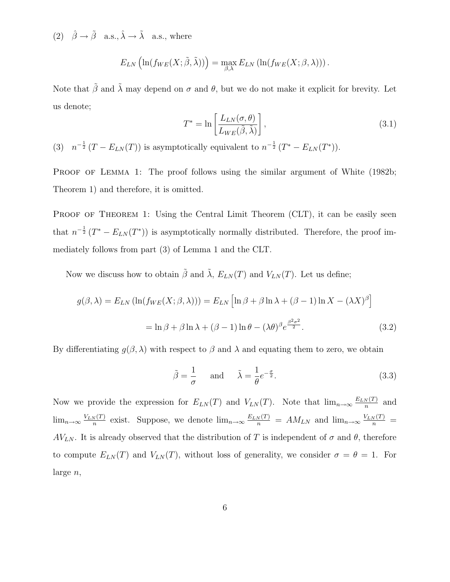(2)  $\hat{\beta} \rightarrow \tilde{\beta}$  a.s.,  $\hat{\lambda} \rightarrow \tilde{\lambda}$  a.s., where

$$
E_{LN}\left(\ln(f_{WE}(X;\tilde{\beta},\tilde{\lambda}))\right)=\max_{\beta,\lambda}E_{LN}\left(\ln(f_{WE}(X;\beta,\lambda))\right).
$$

Note that  $\tilde{\beta}$  and  $\tilde{\lambda}$  may depend on  $\sigma$  and  $\theta$ , but we do not make it explicit for brevity. Let us denote;

$$
T^* = \ln\left[\frac{L_{LN}(\sigma,\theta)}{L_{WE}(\tilde{\beta},\tilde{\lambda})}\right],\tag{3.1}
$$

(3)  $n^{-\frac{1}{2}}(T - E_{LN}(T))$  is asymptotically equivalent to  $n^{-\frac{1}{2}}(T^* - E_{LN}(T^*)$ .

PROOF OF LEMMA 1: The proof follows using the similar argument of White (1982b; Theorem 1) and therefore, it is omitted.

PROOF OF THEOREM 1: Using the Central Limit Theorem (CLT), it can be easily seen that  $n^{-\frac{1}{2}}(T^* - E_{LN}(T^*))$  is asymptotically normally distributed. Therefore, the proof immediately follows from part (3) of Lemma 1 and the CLT.

Now we discuss how to obtain  $\tilde{\beta}$  and  $\tilde{\lambda}$ ,  $E_{LN}(T)$  and  $V_{LN}(T)$ . Let us define;

$$
g(\beta, \lambda) = E_{LN} \left( \ln(f_{WE}(X; \beta, \lambda)) \right) = E_{LN} \left[ \ln \beta + \beta \ln \lambda + (\beta - 1) \ln X - (\lambda X)^{\beta} \right]
$$

$$
= \ln \beta + \beta \ln \lambda + (\beta - 1) \ln \theta - (\lambda \theta)^{\beta} e^{\frac{\beta^{2} \sigma^{2}}{2}}.
$$
(3.2)

By differentiating  $g(\beta, \lambda)$  with respect to  $\beta$  and  $\lambda$  and equating them to zero, we obtain

$$
\tilde{\beta} = \frac{1}{\sigma} \quad \text{and} \quad \tilde{\lambda} = \frac{1}{\theta} e^{-\frac{\sigma}{2}}.
$$
\n(3.3)

Now we provide the expression for  $E_{LN}(T)$  and  $V_{LN}(T)$ . Note that  $\lim_{n\to\infty}\frac{E_{LN}(T)}{n}$  $\frac{N(T)}{n}$  and  $\lim_{n\to\infty}\frac{V_{LN}(T)}{n}$  $\frac{N(T)}{n}$  exist. Suppose, we denote  $\lim_{n\to\infty} \frac{E_{LN}(T)}{n} = AM_{LN}$  and  $\lim_{n\to\infty} \frac{V_{LN}(T)}{n} =$  $AV_{LN}$ . It is already observed that the distribution of T is independent of  $\sigma$  and  $\theta$ , therefore to compute  $E_{LN}(T)$  and  $V_{LN}(T)$ , without loss of generality, we consider  $\sigma = \theta = 1$ . For large n,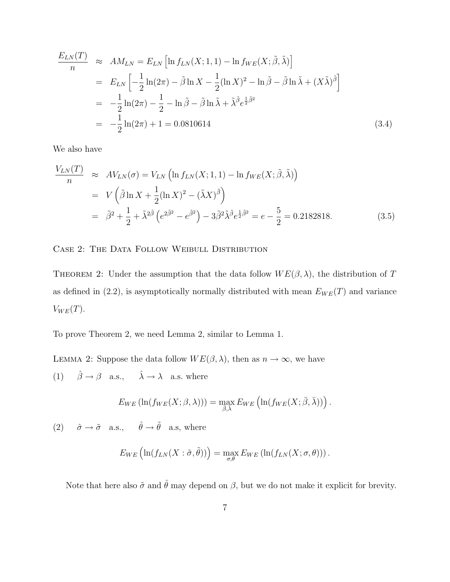$$
\frac{E_{LN}(T)}{n} \approx AM_{LN} = E_{LN} \left[ \ln f_{LN}(X; 1, 1) - \ln f_{WE}(X; \tilde{\beta}, \tilde{\lambda}) \right]
$$
  
\n
$$
= E_{LN} \left[ -\frac{1}{2} \ln(2\pi) - \tilde{\beta} \ln X - \frac{1}{2} (\ln X)^2 - \ln \tilde{\beta} - \tilde{\beta} \ln \tilde{\lambda} + (X\tilde{\lambda})^{\tilde{\beta}} \right]
$$
  
\n
$$
= -\frac{1}{2} \ln(2\pi) - \frac{1}{2} - \ln \tilde{\beta} - \tilde{\beta} \ln \tilde{\lambda} + \tilde{\lambda}^{\tilde{\beta}} e^{\frac{1}{2}\tilde{\beta}^2}
$$
  
\n
$$
= -\frac{1}{2} \ln(2\pi) + 1 = 0.0810614
$$
 (3.4)

We also have

$$
\frac{V_{LN}(T)}{n} \approx AV_{LN}(\sigma) = V_{LN} \left( \ln f_{LN}(X; 1, 1) - \ln f_{WE}(X; \tilde{\beta}, \tilde{\lambda}) \right)
$$
  
=  $V \left( \tilde{\beta} \ln X + \frac{1}{2} (\ln X)^2 - (\tilde{\lambda} X)^{\tilde{\beta}} \right)$   
=  $\tilde{\beta}^2 + \frac{1}{2} + \tilde{\lambda}^{2\tilde{\beta}} \left( e^{2\tilde{\beta}^2} - e^{\tilde{\beta}^2} \right) - 3\tilde{\beta}^2 \tilde{\lambda}^{\tilde{\beta}} e^{\frac{1}{2}\tilde{\beta}^2} = e - \frac{5}{2} = 0.2182818.$  (3.5)

CASE 2: THE DATA FOLLOW WEIBULL DISTRIBUTION

THEOREM 2: Under the assumption that the data follow  $WE(\beta, \lambda)$ , the distribution of T as defined in (2.2), is asymptotically normally distributed with mean  $E_{WE}(T)$  and variance  $V_{WE}(T)$ .

To prove Theorem 2, we need Lemma 2, similar to Lemma 1.

LEMMA 2: Suppose the data follow  $WE(\beta, \lambda)$ , then as  $n \to \infty$ , we have (1)  $\hat{\beta} \rightarrow \beta$  a.s.,  $\hat{\lambda} \rightarrow \lambda$  a.s. where

$$
E_{WE}(\ln(f_{WE}(X;\beta,\lambda))) = \max_{\bar{\beta},\bar{\lambda}} E_{WE}(\ln(f_{WE}(X;\bar{\beta},\bar{\lambda})))
$$

(2)  $\hat{\sigma} \to \tilde{\sigma}$  a.s.,  $\hat{\theta} \to \tilde{\theta}$  a.s, where

$$
E_{WE}\left(\ln(f_{LN}(X:\tilde{\sigma},\tilde{\theta}))\right) = \max_{\sigma,\theta} E_{WE}\left(\ln(f_{LN}(X;\sigma,\theta))\right).
$$

Note that here also  $\tilde{\sigma}$  and  $\hat{\theta}$  may depend on  $\beta$ , but we do not make it explicit for brevity.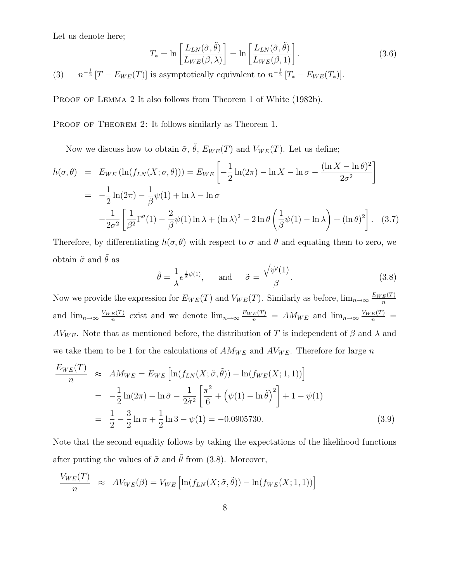Let us denote here;

$$
T_* = \ln\left[\frac{L_{LN}(\tilde{\sigma}, \tilde{\theta})}{L_{WE}(\beta, \lambda)}\right] = \ln\left[\frac{L_{LN}(\tilde{\sigma}, \tilde{\theta})}{L_{WE}(\beta, 1)}\right].
$$
\n(3.6)

 $(3)$  $^{-\frac{1}{2}}$  [T –  $E_{WE}(T)$ ] is asymptotically equivalent to  $n^{-\frac{1}{2}}$  [T<sub>\*</sub> –  $E_{WE}(T_*)$ ].

PROOF OF LEMMA 2 It also follows from Theorem 1 of White (1982b).

PROOF OF THEOREM 2: It follows similarly as Theorem 1.

Now we discuss how to obtain  $\tilde{\sigma}$ ,  $\tilde{\theta}$ ,  $E_{WE}(T)$  and  $V_{WE}(T)$ . Let us define;

$$
h(\sigma,\theta) = E_{WE}(\ln(f_{LN}(X;\sigma,\theta))) = E_{WE}\left[-\frac{1}{2}\ln(2\pi) - \ln X - \ln \sigma - \frac{(\ln X - \ln \theta)^2}{2\sigma^2}\right]
$$
  
= 
$$
-\frac{1}{2}\ln(2\pi) - \frac{1}{\beta}\psi(1) + \ln \lambda - \ln \sigma
$$

$$
-\frac{1}{2\sigma^2}\left[\frac{1}{\beta^2}\Gamma''(1) - \frac{2}{\beta}\psi(1)\ln \lambda + (\ln \lambda)^2 - 2\ln \theta \left(\frac{1}{\beta}\psi(1) - \ln \lambda\right) + (\ln \theta)^2\right]. \quad (3.7)
$$

Therefore, by differentiating  $h(\sigma, \theta)$  with respect to  $\sigma$  and  $\theta$  and equating them to zero, we obtain  $\tilde{\sigma}$  and  $\tilde{\theta}$  as

$$
\tilde{\theta} = \frac{1}{\lambda} e^{\frac{1}{\beta}\psi(1)}, \quad \text{and} \quad \tilde{\sigma} = \frac{\sqrt{\psi'(1)}}{\beta}.
$$
\n(3.8)

Now we provide the expression for  $E_{WE}(T)$  and  $V_{WE}(T)$ . Similarly as before,  $\lim_{n\to\infty}\frac{E_{WE}(T)}{n}$ n and  $\lim_{n\to\infty}\frac{V_{WE}(T)}{n}$  $\frac{E(T)}{n}$  exist and we denote  $\lim_{n\to\infty} \frac{E_{WE}(T)}{n} = AM_{WE}$  and  $\lim_{n\to\infty} \frac{V_{WE}(T)}{n}$ AV<sub>WE</sub>. Note that as mentioned before, the distribution of T is independent of  $\beta$  and  $\lambda$  and we take them to be 1 for the calculations of  $AM_{WE}$  and  $AV_{WE}$ . Therefore for large n

$$
\frac{E_{WE}(T)}{n} \approx AM_{WE} = E_{WE} \left[ \ln(f_{LN}(X; \tilde{\sigma}, \tilde{\theta})) - \ln(f_{WE}(X; 1, 1)) \right]
$$
  
=  $-\frac{1}{2} \ln(2\pi) - \ln \tilde{\sigma} - \frac{1}{2\tilde{\sigma}^2} \left[ \frac{\pi^2}{6} + (\psi(1) - \ln \tilde{\theta})^2 \right] + 1 - \psi(1)$   
=  $\frac{1}{2} - \frac{3}{2} \ln \pi + \frac{1}{2} \ln 3 - \psi(1) = -0.0905730.$  (3.9)

Note that the second equality follows by taking the expectations of the likelihood functions after putting the values of  $\tilde{\sigma}$  and  $\tilde{\theta}$  from (3.8). Moreover,

$$
\frac{V_{WE}(T)}{n} \approx AV_{WE}(\beta) = V_{WE}\left[\ln(f_{LN}(X;\tilde{\sigma},\tilde{\theta})) - \ln(f_{WE}(X;1,1))\right]
$$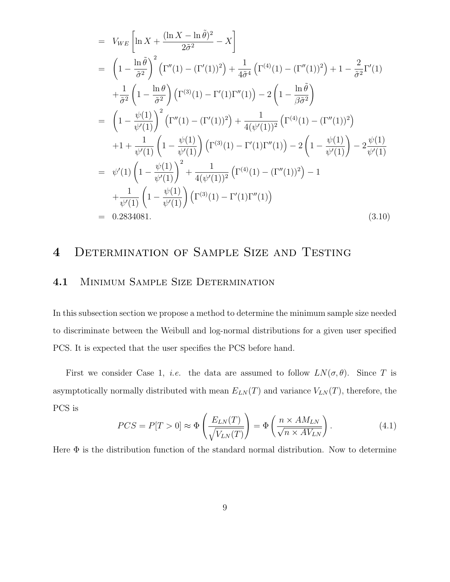$$
= V_{WE} \left[ \ln X + \frac{(\ln X - \ln \tilde{\theta})^2}{2\tilde{\sigma}^2} - X \right]
$$
  
\n
$$
= \left( 1 - \frac{\ln \tilde{\theta}}{\tilde{\sigma}^2} \right)^2 \left( \Gamma''(1) - (\Gamma'(1))^2 \right) + \frac{1}{4\tilde{\sigma}^4} \left( \Gamma^{(4)}(1) - (\Gamma''(1))^2 \right) + 1 - \frac{2}{\tilde{\sigma}^2} \Gamma'(1)
$$
  
\n
$$
+ \frac{1}{\tilde{\sigma}^2} \left( 1 - \frac{\ln \theta}{\tilde{\sigma}^2} \right) \left( \Gamma^{(3)}(1) - \Gamma'(1) \Gamma''(1) \right) - 2 \left( 1 - \frac{\ln \tilde{\theta}}{\beta \tilde{\sigma}^2} \right)
$$
  
\n
$$
= \left( 1 - \frac{\psi(1)}{\psi'(1)} \right)^2 \left( \Gamma''(1) - (\Gamma'(1))^2 \right) + \frac{1}{4(\psi'(1))^2} \left( \Gamma^{(4)}(1) - (\Gamma''(1))^2 \right)
$$
  
\n
$$
+ 1 + \frac{1}{\psi'(1)} \left( 1 - \frac{\psi(1)}{\psi'(1)} \right) \left( \Gamma^{(3)}(1) - \Gamma'(1) \Gamma''(1) \right) - 2 \left( 1 - \frac{\psi(1)}{\psi'(1)} \right) - 2 \frac{\psi(1)}{\psi'(1)}
$$
  
\n
$$
= \psi'(1) \left( 1 - \frac{\psi(1)}{\psi'(1)} \right)^2 + \frac{1}{4(\psi'(1))^2} \left( \Gamma^{(4)}(1) - (\Gamma''(1))^2 \right) - 1
$$
  
\n
$$
+ \frac{1}{\psi'(1)} \left( 1 - \frac{\psi(1)}{\psi'(1)} \right) \left( \Gamma^{(3)}(1) - \Gamma'(1) \Gamma''(1) \right)
$$
  
\n= 0.2834081. (3.10)

# 4 Determination of Sample Size and Testing

### 4.1 Minimum Sample Size Determination

In this subsection section we propose a method to determine the minimum sample size needed to discriminate between the Weibull and log-normal distributions for a given user specified PCS. It is expected that the user specifies the PCS before hand.

First we consider Case 1, *i.e.* the data are assumed to follow  $LN(\sigma, \theta)$ . Since T is asymptotically normally distributed with mean  $E_{LN}(T)$  and variance  $V_{LN}(T)$ , therefore, the PCS is

$$
PCS = P[T > 0] \approx \Phi\left(\frac{E_{LN}(T)}{\sqrt{V_{LN}(T)}}\right) = \Phi\left(\frac{n \times AM_{LN}}{\sqrt{n \times AV_{LN}}}\right). \tag{4.1}
$$

Here  $\Phi$  is the distribution function of the standard normal distribution. Now to determine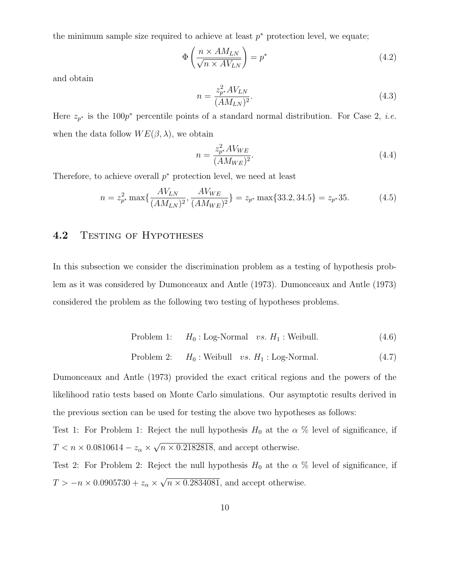the minimum sample size required to achieve at least  $p^*$  protection level, we equate;

$$
\Phi\left(\frac{n \times AM_{LN}}{\sqrt{n \times AV_{LN}}}\right) = p^*
$$
\n(4.2)

and obtain

$$
n = \frac{z_{p^*}^2 A V_{LN}}{(AM_{LN})^2}.
$$
\n(4.3)

Here  $z_{p^*}$  is the 100 $p^*$  percentile points of a standard normal distribution. For Case 2, *i.e.* when the data follow  $WE(\beta, \lambda)$ , we obtain

$$
n = \frac{z_{p^*}^2 A V_{WE}}{(AM_{WE})^2}.
$$
\n(4.4)

Therefore, to achieve overall  $p^*$  protection level, we need at least

$$
n = z_{p^*}^2 \max\{\frac{AV_{LN}}{(AM_{LN})^2}, \frac{AV_{WE}}{(AM_{WE})^2}\} = z_{p^*} \max\{33.2, 34.5\} = z_{p^*}35. \tag{4.5}
$$

#### 4.2 TESTING OF HYPOTHESES

In this subsection we consider the discrimination problem as a testing of hypothesis problem as it was considered by Dumonceaux and Antle (1973). Dumonceaux and Antle (1973) considered the problem as the following two testing of hypotheses problems.

Problem 1: 
$$
H_0
$$
: Log-Normal *vs.*  $H_1$ : Weibull. (4.6)

Problem 2: 
$$
H_0
$$
: Weibull *vs.*  $H_1$ : Log-Normal. (4.7)

Dumonceaux and Antle (1973) provided the exact critical regions and the powers of the likelihood ratio tests based on Monte Carlo simulations. Our asymptotic results derived in the previous section can be used for testing the above two hypotheses as follows:

Test 1: For Problem 1: Reject the null hypothesis  $H_0$  at the  $\alpha$  % level of significance, if  $T < n \times 0.0810614 - z_{\alpha} \times \sqrt{n \times 0.2182818}$ , and accept otherwise.

Test 2: For Problem 2: Reject the null hypothesis  $H_0$  at the  $\alpha$  % level of significance, if  $T > -n \times 0.0905730 + z_{\alpha} \times \sqrt{n \times 0.2834081}$ , and accept otherwise.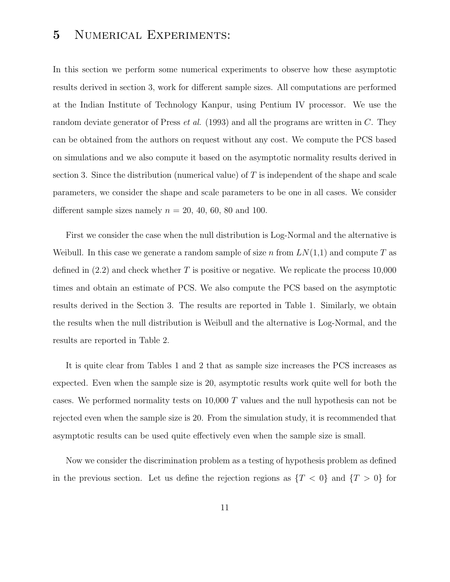# 5 NUMERICAL EXPERIMENTS:

In this section we perform some numerical experiments to observe how these asymptotic results derived in section 3, work for different sample sizes. All computations are performed at the Indian Institute of Technology Kanpur, using Pentium IV processor. We use the random deviate generator of Press et al. (1993) and all the programs are written in C. They can be obtained from the authors on request without any cost. We compute the PCS based on simulations and we also compute it based on the asymptotic normality results derived in section 3. Since the distribution (numerical value) of  $T$  is independent of the shape and scale parameters, we consider the shape and scale parameters to be one in all cases. We consider different sample sizes namely  $n = 20, 40, 60, 80$  and 100.

First we consider the case when the null distribution is Log-Normal and the alternative is Weibull. In this case we generate a random sample of size n from  $LN(1,1)$  and compute T as defined in  $(2.2)$  and check whether T is positive or negative. We replicate the process 10,000 times and obtain an estimate of PCS. We also compute the PCS based on the asymptotic results derived in the Section 3. The results are reported in Table 1. Similarly, we obtain the results when the null distribution is Weibull and the alternative is Log-Normal, and the results are reported in Table 2.

It is quite clear from Tables 1 and 2 that as sample size increases the PCS increases as expected. Even when the sample size is 20, asymptotic results work quite well for both the cases. We performed normality tests on 10,000 T values and the null hypothesis can not be rejected even when the sample size is 20. From the simulation study, it is recommended that asymptotic results can be used quite effectively even when the sample size is small.

Now we consider the discrimination problem as a testing of hypothesis problem as defined in the previous section. Let us define the rejection regions as  $\{T < 0\}$  and  $\{T > 0\}$  for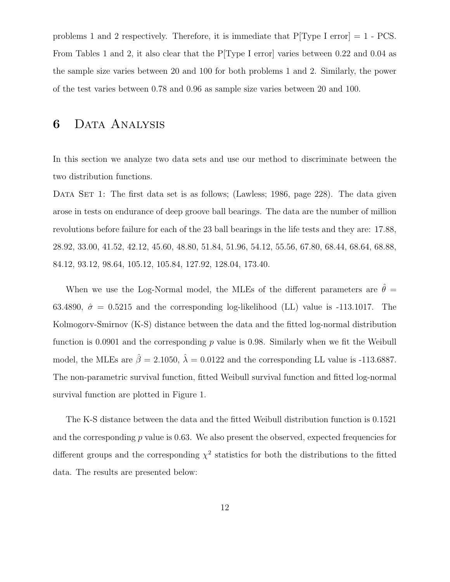problems 1 and 2 respectively. Therefore, it is immediate that  $P[Type I error] = 1 - PCS$ . From Tables 1 and 2, it also clear that the P[Type I error] varies between 0.22 and 0.04 as the sample size varies between 20 and 100 for both problems 1 and 2. Similarly, the power of the test varies between 0.78 and 0.96 as sample size varies between 20 and 100.

## 6 Data Analysis

In this section we analyze two data sets and use our method to discriminate between the two distribution functions.

DATA SET 1: The first data set is as follows; (Lawless; 1986, page 228). The data given arose in tests on endurance of deep groove ball bearings. The data are the number of million revolutions before failure for each of the 23 ball bearings in the life tests and they are: 17.88, 28.92, 33.00, 41.52, 42.12, 45.60, 48.80, 51.84, 51.96, 54.12, 55.56, 67.80, 68.44, 68.64, 68.88, 84.12, 93.12, 98.64, 105.12, 105.84, 127.92, 128.04, 173.40.

When we use the Log-Normal model, the MLEs of the different parameters are  $\hat{\theta} =$ 63.4890,  $\hat{\sigma} = 0.5215$  and the corresponding log-likelihood (LL) value is -113.1017. The Kolmogorv-Smirnov (K-S) distance between the data and the fitted log-normal distribution function is 0.0901 and the corresponding  $p$  value is 0.98. Similarly when we fit the Weibull model, the MLEs are  $\hat{\beta} = 2.1050$ ,  $\hat{\lambda} = 0.0122$  and the corresponding LL value is -113.6887. The non-parametric survival function, fitted Weibull survival function and fitted log-normal survival function are plotted in Figure 1.

The K-S distance between the data and the fitted Weibull distribution function is 0.1521 and the corresponding  $p$  value is 0.63. We also present the observed, expected frequencies for different groups and the corresponding  $\chi^2$  statistics for both the distributions to the fitted data. The results are presented below: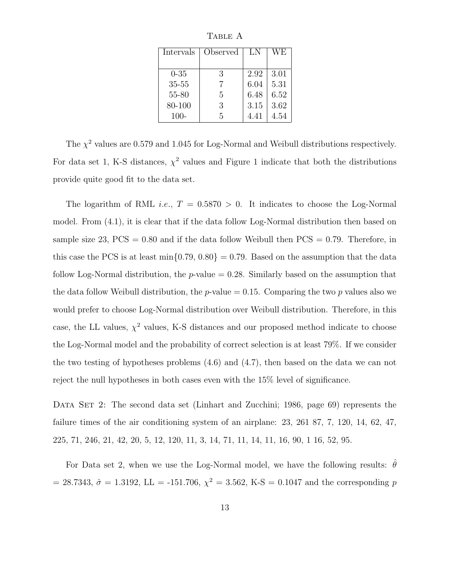| Intervals | Observed | LN   | WЕ   |
|-----------|----------|------|------|
|           |          |      |      |
| $0 - 35$  | 3        | 2.92 | 3.01 |
| 35-55     |          | 6.04 | 5.31 |
| 55-80     | 5        | 6.48 | 6.52 |
| 80-100    | 3        | 3.15 | 3.62 |
| $100-$    | 5        | 4.41 | 4.54 |

TABLE A

The  $\chi^2$  values are 0.579 and 1.045 for Log-Normal and Weibull distributions respectively. For data set 1, K-S distances,  $\chi^2$  values and Figure 1 indicate that both the distributions provide quite good fit to the data set.

The logarithm of RML *i.e.*,  $T = 0.5870 > 0$ . It indicates to choose the Log-Normal model. From (4.1), it is clear that if the data follow Log-Normal distribution then based on sample size 23,  $PCS = 0.80$  and if the data follow Weibull then  $PCS = 0.79$ . Therefore, in this case the PCS is at least  $\min\{0.79, 0.80\} = 0.79$ . Based on the assumption that the data follow Log-Normal distribution, the  $p$ -value  $= 0.28$ . Similarly based on the assumption that the data follow Weibull distribution, the *p*-value  $= 0.15$ . Comparing the two *p* values also we would prefer to choose Log-Normal distribution over Weibull distribution. Therefore, in this case, the LL values,  $\chi^2$  values, K-S distances and our proposed method indicate to choose the Log-Normal model and the probability of correct selection is at least 79%. If we consider the two testing of hypotheses problems (4.6) and (4.7), then based on the data we can not reject the null hypotheses in both cases even with the 15% level of significance.

DATA SET 2: The second data set (Linhart and Zucchini; 1986, page 69) represents the failure times of the air conditioning system of an airplane: 23, 261 87, 7, 120, 14, 62, 47, 225, 71, 246, 21, 42, 20, 5, 12, 120, 11, 3, 14, 71, 11, 14, 11, 16, 90, 1 16, 52, 95.

For Data set 2, when we use the Log-Normal model, we have the following results:  $\theta$ = 28.7343,  $\hat{\sigma}$  = 1.3192, LL = -151.706,  $\chi^2$  = 3.562, K-S = 0.1047 and the corresponding p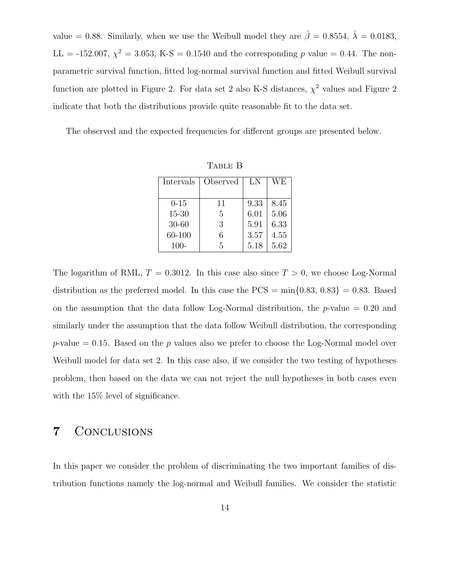value = 0.88. Similarly, when we use the Weibull model they are  $\hat{\beta} = 0.8554, \hat{\lambda} = 0.0183$ ,  $LL = -152.007, \chi^2 = 3.053, K-S = 0.1540$  and the corresponding p value = 0.44. The nonparametric survival function, fitted log-normal survival function and fitted Weibull survival function are plotted in Figure 2. For data set 2 also K-S distances,  $\chi^2$  values and Figure 2 indicate that both the distributions provide quite reasonable fit to the data set.

The observed and the expected frequencies for different groups are presented below.

| Intervals | Observed | LN   | WЕ   |
|-----------|----------|------|------|
| $0 - 15$  | 11       | 9.33 | 8.45 |
| $15 - 30$ | 5        | 6.01 | 5.06 |
| $30 - 60$ | 3        | 5.91 | 6.33 |
| 60-100    | 6        | 3.57 | 4.55 |
| $100 -$   | 5        | 5.18 | 5.62 |

Table B

The logarithm of RML,  $T = 0.3012$ . In this case also since  $T > 0$ , we choose Log-Normal distribution as the preferred model. In this case the  $PCS = min{0.83, 0.83} = 0.83$ . Based on the assumption that the data follow Log-Normal distribution, the  $p$ -value = 0.20 and similarly under the assumption that the data follow Weibull distribution, the corresponding  $p$ -value = 0.15. Based on the p values also we prefer to choose the Log-Normal model over Weibull model for data set 2. In this case also, if we consider the two testing of hypotheses problem, then based on the data we can not reject the null hypotheses in both cases even with the 15% level of significance.

## 7 Conclusions

In this paper we consider the problem of discriminating the two important families of distribution functions namely the log-normal and Weibull families. We consider the statistic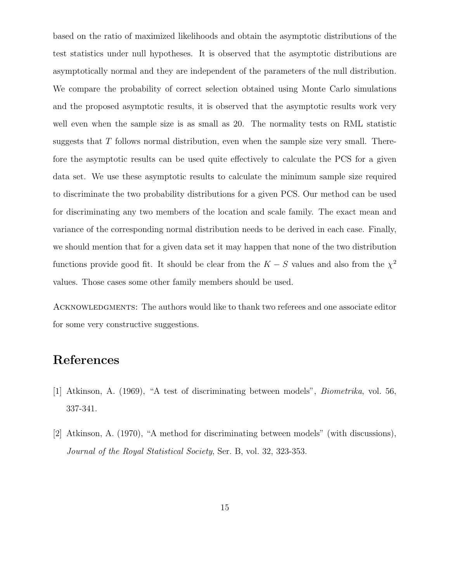based on the ratio of maximized likelihoods and obtain the asymptotic distributions of the test statistics under null hypotheses. It is observed that the asymptotic distributions are asymptotically normal and they are independent of the parameters of the null distribution. We compare the probability of correct selection obtained using Monte Carlo simulations and the proposed asymptotic results, it is observed that the asymptotic results work very well even when the sample size is as small as 20. The normality tests on RML statistic suggests that  $T$  follows normal distribution, even when the sample size very small. Therefore the asymptotic results can be used quite effectively to calculate the PCS for a given data set. We use these asymptotic results to calculate the minimum sample size required to discriminate the two probability distributions for a given PCS. Our method can be used for discriminating any two members of the location and scale family. The exact mean and variance of the corresponding normal distribution needs to be derived in each case. Finally, we should mention that for a given data set it may happen that none of the two distribution functions provide good fit. It should be clear from the  $K-S$  values and also from the  $\chi^2$ values. Those cases some other family members should be used.

ACKNOWLEDGMENTS: The authors would like to thank two referees and one associate editor for some very constructive suggestions.

## References

- [1] Atkinson, A. (1969), "A test of discriminating between models", Biometrika, vol. 56, 337-341.
- [2] Atkinson, A. (1970), "A method for discriminating between models" (with discussions), Journal of the Royal Statistical Society, Ser. B, vol. 32, 323-353.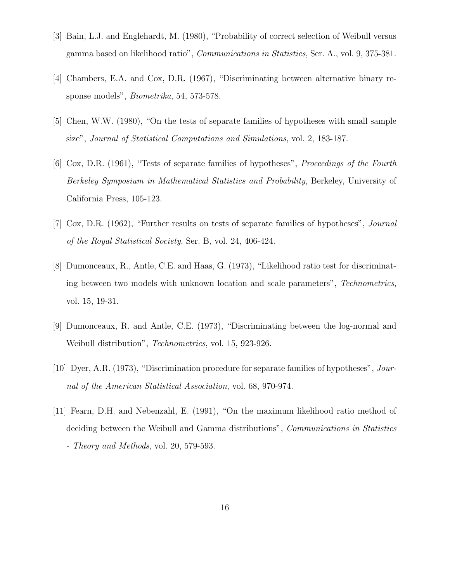- [3] Bain, L.J. and Englehardt, M. (1980), "Probability of correct selection of Weibull versus gamma based on likelihood ratio", Communications in Statistics, Ser. A., vol. 9, 375-381.
- [4] Chambers, E.A. and Cox, D.R. (1967), "Discriminating between alternative binary response models", Biometrika, 54, 573-578.
- [5] Chen, W.W. (1980), "On the tests of separate families of hypotheses with small sample size", Journal of Statistical Computations and Simulations, vol. 2, 183-187.
- [6] Cox, D.R. (1961), "Tests of separate families of hypotheses", Proceedings of the Fourth Berkeley Symposium in Mathematical Statistics and Probability, Berkeley, University of California Press, 105-123.
- [7] Cox, D.R. (1962), "Further results on tests of separate families of hypotheses", Journal of the Royal Statistical Society, Ser. B, vol. 24, 406-424.
- [8] Dumonceaux, R., Antle, C.E. and Haas, G. (1973), "Likelihood ratio test for discriminating between two models with unknown location and scale parameters", Technometrics, vol. 15, 19-31.
- [9] Dumonceaux, R. and Antle, C.E. (1973), "Discriminating between the log-normal and Weibull distribution", Technometrics, vol. 15, 923-926.
- [10] Dyer, A.R. (1973), "Discrimination procedure for separate families of hypotheses", Journal of the American Statistical Association, vol. 68, 970-974.
- [11] Fearn, D.H. and Nebenzahl, E. (1991), "On the maximum likelihood ratio method of deciding between the Weibull and Gamma distributions", *Communications in Statistics* - Theory and Methods, vol. 20, 579-593.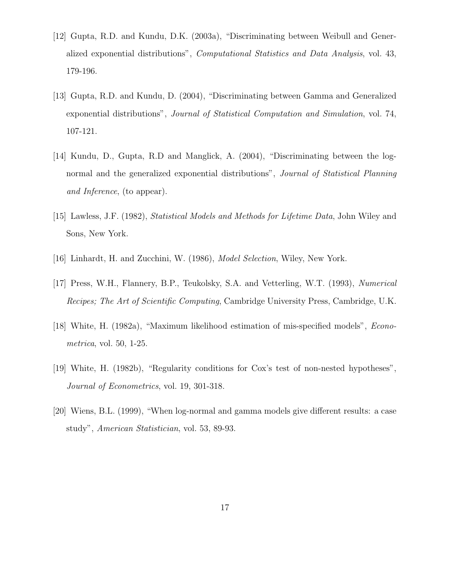- [12] Gupta, R.D. and Kundu, D.K. (2003a), "Discriminating between Weibull and Generalized exponential distributions", Computational Statistics and Data Analysis, vol. 43, 179-196.
- [13] Gupta, R.D. and Kundu, D. (2004), "Discriminating between Gamma and Generalized exponential distributions", Journal of Statistical Computation and Simulation, vol. 74, 107-121.
- [14] Kundu, D., Gupta, R.D and Manglick, A. (2004), "Discriminating between the lognormal and the generalized exponential distributions", *Journal of Statistical Planning* and Inference, (to appear).
- [15] Lawless, J.F. (1982), Statistical Models and Methods for Lifetime Data, John Wiley and Sons, New York.
- [16] Linhardt, H. and Zucchini, W. (1986), *Model Selection*, Wiley, New York.
- [17] Press, W.H., Flannery, B.P., Teukolsky, S.A. and Vetterling, W.T. (1993), Numerical Recipes; The Art of Scientific Computing, Cambridge University Press, Cambridge, U.K.
- [18] White, H. (1982a), "Maximum likelihood estimation of mis-specified models", Econometrica, vol. 50, 1-25.
- [19] White, H. (1982b), "Regularity conditions for Cox's test of non-nested hypotheses", Journal of Econometrics, vol. 19, 301-318.
- [20] Wiens, B.L. (1999), "When log-normal and gamma models give different results: a case study", American Statistician, vol. 53, 89-93.